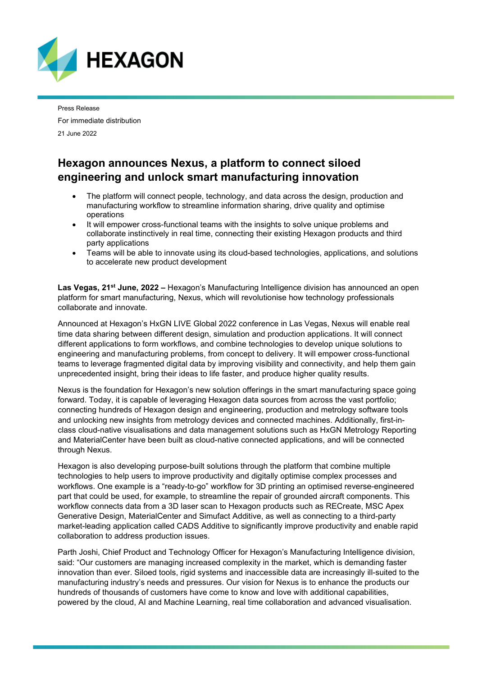

Press Release For immediate distribution 21 June 2022

## **Hexagon announces Nexus, a platform to connect siloed engineering and unlock smart manufacturing innovation**

- The platform will connect people, technology, and data across the design, production and manufacturing workflow to streamline information sharing, drive quality and optimise operations
- It will empower cross-functional teams with the insights to solve unique problems and collaborate instinctively in real time, connecting their existing Hexagon products and third party applications
- Teams will be able to innovate using its cloud-based technologies, applications, and solutions to accelerate new product development

**Las Vegas, 21st June, 2022 –** Hexagon's Manufacturing Intelligence division has announced an open platform for smart manufacturing, Nexus, which will revolutionise how technology professionals collaborate and innovate.

Announced at Hexagon's HxGN LIVE Global 2022 conference in Las Vegas, Nexus will enable real time data sharing between different design, simulation and production applications. It will connect different applications to form workflows, and combine technologies to develop unique solutions to engineering and manufacturing problems, from concept to delivery. It will empower cross-functional teams to leverage fragmented digital data by improving visibility and connectivity, and help them gain unprecedented insight, bring their ideas to life faster, and produce higher quality results.

Nexus is the foundation for Hexagon's new solution offerings in the smart manufacturing space going forward. Today, it is capable of leveraging Hexagon data sources from across the vast portfolio; connecting hundreds of Hexagon design and engineering, production and metrology software tools and unlocking new insights from metrology devices and connected machines. Additionally, first-inclass cloud-native visualisations and data management solutions such as HxGN Metrology Reporting and MaterialCenter have been built as cloud-native connected applications, and will be connected through Nexus.

Hexagon is also developing purpose-built solutions through the platform that combine multiple technologies to help users to improve productivity and digitally optimise complex processes and workflows. One example is a "ready-to-go" workflow for 3D printing an optimised reverse-engineered part that could be used, for example, to streamline the repair of grounded aircraft components. This workflow connects data from a 3D laser scan to Hexagon products such as RECreate, MSC Apex Generative Design, MaterialCenter and Simufact Additive, as well as connecting to a third-party market-leading application called CADS Additive to significantly improve productivity and enable rapid collaboration to address production issues.

Parth Joshi, Chief Product and Technology Officer for Hexagon's Manufacturing Intelligence division, said: "Our customers are managing increased complexity in the market, which is demanding faster innovation than ever. Siloed tools, rigid systems and inaccessible data are increasingly ill-suited to the manufacturing industry's needs and pressures. Our vision for Nexus is to enhance the products our hundreds of thousands of customers have come to know and love with additional capabilities, powered by the cloud, AI and Machine Learning, real time collaboration and advanced visualisation.